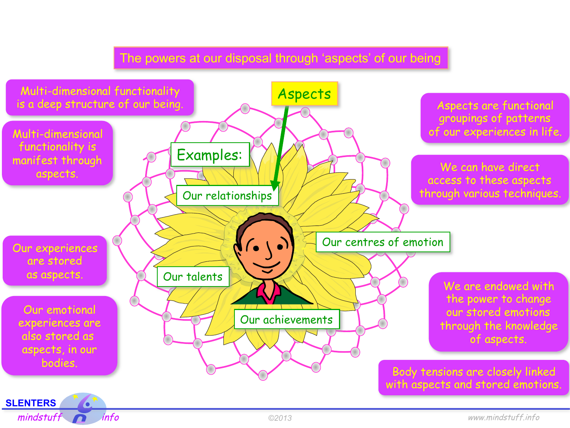## The powers at our disposal through 'aspects' of our being

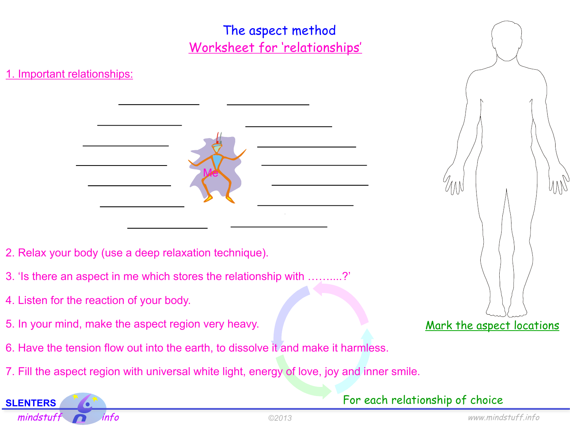

For each relationship of choice

**SLENTERS**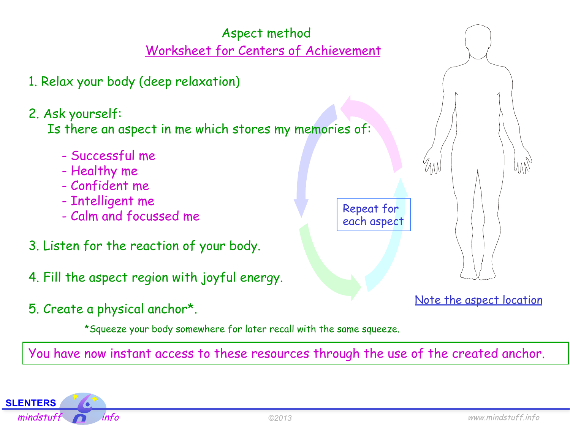

You have now instant access to these resources through the use of the created anchor.

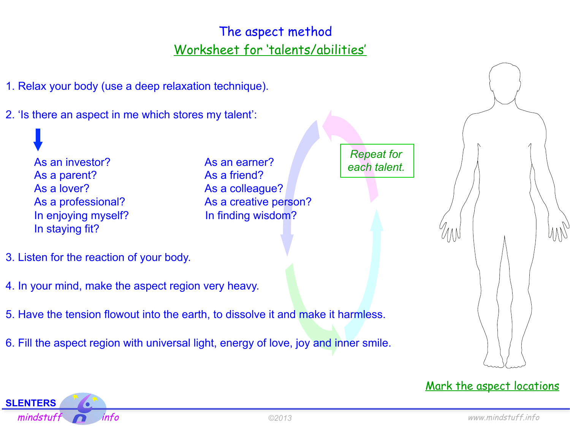## The aspect method Worksheet for 'talents/abilities'



**SLENTERS**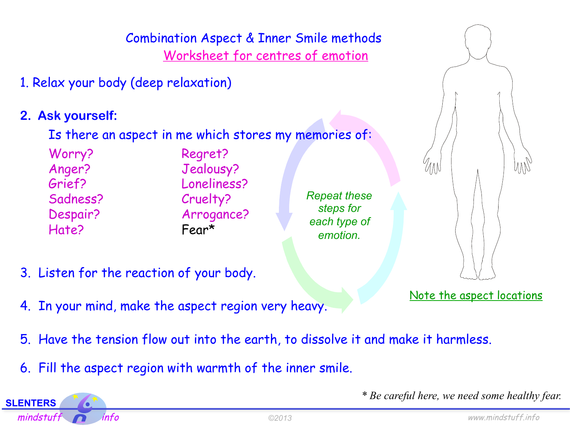

- 5. Have the tension flow out into the earth, to dissolve it and make it harmless.
- 6. Fill the aspect region with warmth of the inner smile.

**SLENTERS** 

*\* Be careful here, we need some healthy fear.*